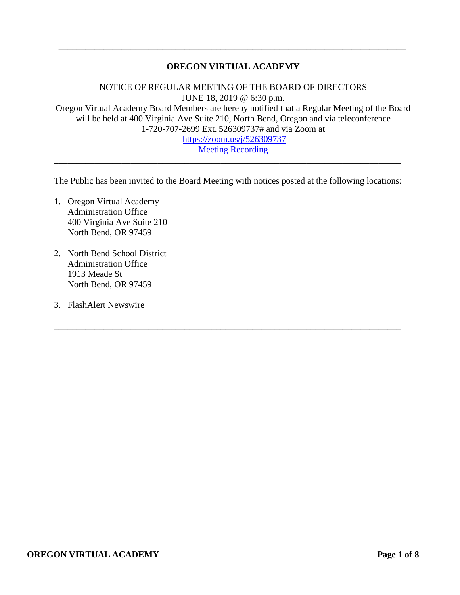# **OREGON VIRTUAL ACADEMY**

\_\_\_\_\_\_\_\_\_\_\_\_\_\_\_\_\_\_\_\_\_\_\_\_\_\_\_\_\_\_\_\_\_\_\_\_\_\_\_\_\_\_\_\_\_\_\_\_\_\_\_\_\_\_\_\_\_\_\_\_\_\_\_\_\_\_\_\_\_\_\_\_\_\_\_\_\_

NOTICE OF REGULAR MEETING OF THE BOARD OF DIRECTORS JUNE 18, 2019 @ 6:30 p.m. Oregon Virtual Academy Board Members are hereby notified that a Regular Meeting of the Board will be held at 400 Virginia Ave Suite 210, North Bend, Oregon and via teleconference 1-720-707-2699 Ext. 526309737# and via Zoom at <https://zoom.us/j/526309737>

[Meeting Recording](https://zoom.us/recording/share/6wx6TqM1Mw6ywXKPTCageTBqkzXePMXKs0ZtNi46-q6wIumekTziMw?startTime=1560906477000)

The Public has been invited to the Board Meeting with notices posted at the following locations:

\_\_\_\_\_\_\_\_\_\_\_\_\_\_\_\_\_\_\_\_\_\_\_\_\_\_\_\_\_\_\_\_\_\_\_\_\_\_\_\_\_\_\_\_\_\_\_\_\_\_\_\_\_\_\_\_\_\_\_\_\_\_\_\_\_\_\_\_\_\_\_\_\_\_\_\_\_

\_\_\_\_\_\_\_\_\_\_\_\_\_\_\_\_\_\_\_\_\_\_\_\_\_\_\_\_\_\_\_\_\_\_\_\_\_\_\_\_\_\_\_\_\_\_\_\_\_\_\_\_\_\_\_\_\_\_\_\_\_\_\_\_\_\_\_\_\_\_\_\_\_\_\_\_\_

- 1. Oregon Virtual Academy Administration Office 400 Virginia Ave Suite 210 North Bend, OR 97459
- 2. North Bend School District Administration Office 1913 Meade St North Bend, OR 97459
- 3. FlashAlert Newswire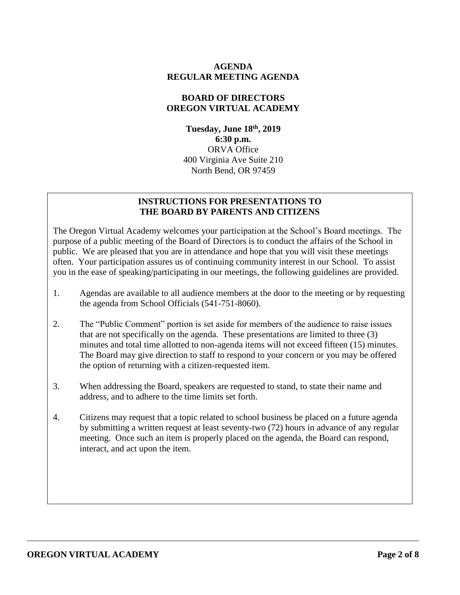### **AGENDA REGULAR MEETING AGENDA**

#### **BOARD OF DIRECTORS OREGON VIRTUAL ACADEMY**

**Tuesday, June 18th , 2019 6:30 p.m.** ORVA Office 400 Virginia Ave Suite 210 North Bend, OR 97459

#### **INSTRUCTIONS FOR PRESENTATIONS TO THE BOARD BY PARENTS AND CITIZENS**

The Oregon Virtual Academy welcomes your participation at the School's Board meetings. The purpose of a public meeting of the Board of Directors is to conduct the affairs of the School in public. We are pleased that you are in attendance and hope that you will visit these meetings often. Your participation assures us of continuing community interest in our School. To assist you in the ease of speaking/participating in our meetings, the following guidelines are provided.

- 1. Agendas are available to all audience members at the door to the meeting or by requesting the agenda from School Officials (541-751-8060).
- 2. The "Public Comment" portion is set aside for members of the audience to raise issues that are not specifically on the agenda. These presentations are limited to three (3) minutes and total time allotted to non-agenda items will not exceed fifteen (15) minutes. The Board may give direction to staff to respond to your concern or you may be offered the option of returning with a citizen-requested item.
- 3. When addressing the Board, speakers are requested to stand, to state their name and address, and to adhere to the time limits set forth.
- 4. Citizens may request that a topic related to school business be placed on a future agenda by submitting a written request at least seventy-two (72) hours in advance of any regular meeting. Once such an item is properly placed on the agenda, the Board can respond, interact, and act upon the item.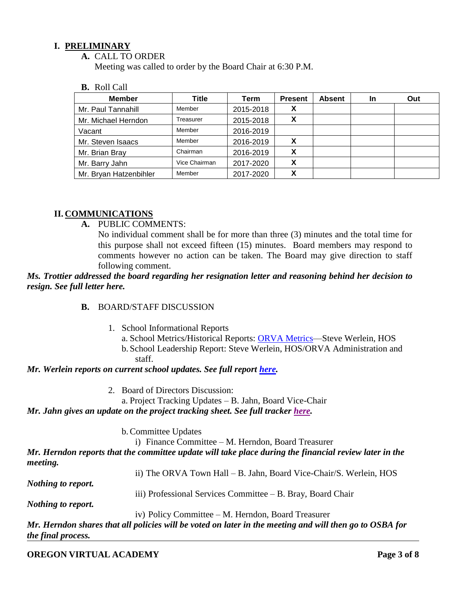## **I. PRELIMINARY**

**A.** CALL TO ORDER

Meeting was called to order by the Board Chair at 6:30 P.M.

**B.** Roll Call

| <b>Member</b>          | Title         | Term      | <b>Present</b> | <b>Absent</b> | In | Out |
|------------------------|---------------|-----------|----------------|---------------|----|-----|
| Mr. Paul Tannahill     | Member        | 2015-2018 | X              |               |    |     |
| Mr. Michael Herndon    | Treasurer     | 2015-2018 | x              |               |    |     |
| Vacant                 | Member        | 2016-2019 |                |               |    |     |
| Mr. Steven Isaacs      | Member        | 2016-2019 | x              |               |    |     |
| Mr. Brian Bray         | Chairman      | 2016-2019 | x              |               |    |     |
| Mr. Barry Jahn         | Vice Chairman | 2017-2020 | X              |               |    |     |
| Mr. Bryan Hatzenbihler | Member        | 2017-2020 | Λ              |               |    |     |

## **II. COMMUNICATIONS**

**A.** PUBLIC COMMENTS:

No individual comment shall be for more than three (3) minutes and the total time for this purpose shall not exceed fifteen (15) minutes. Board members may respond to comments however no action can be taken. The Board may give direction to staff following comment.

*Ms. Trottier addressed the board regarding her resignation letter and reasoning behind her decision to resign. See full letter here.* 

#### **B.** BOARD/STAFF DISCUSSION

- 1. School Informational Reports
	- a. School Metrics/Historical Reports: [ORVA Metrics—](file:///C:/Users/VAteacher/AppData/Local/Microsoft/Windows/Temporary%20Internet%20Files/Content.Outlook/AppData/Local/Microsoft/Windows/INetCache/:f:/g/personal/swerlein_k12_com/EmjKqwMd8clNrqlWny4rPp0BRvsCVAPioNiFUGyw39h3-w%3fe=qn6Xhg)Steve Werlein, HOS
	- b. School Leadership Report: Steve Werlein, HOS/ORVA Administration and staff.

#### *Mr. Werlein reports on current school updates. See full report [here.](https://k12inc-my.sharepoint.com/:p:/g/personal/mecaldwell_oregonva_org/EcHIR_whHFFJnTT_dSSW-IUBGBPzBMnvI1Gu5pT2xAkFnA?e=dW8GPd)*

- 2. Board of Directors Discussion:
	- a. Project Tracking Updates B. Jahn, Board Vice-Chair

#### *Mr. Jahn gives an update on the project tracking sheet. See full tracker [here.](https://docs.google.com/document/d/1uT2qnXvM58wKvtp4pBh7wYaRa91nFy_5RTEfYu7FOyQ/edit)*

#### b.Committee Updates

i) Finance Committee – M. Herndon, Board Treasurer

*Mr. Herndon reports that the committee update will take place during the financial review later in the meeting.*

| ii) The ORVA Town Hall – B. Jahn, Board Vice-Chair/S. Werlein, HOS |  |  |  |  |  |  |
|--------------------------------------------------------------------|--|--|--|--|--|--|
|--------------------------------------------------------------------|--|--|--|--|--|--|

*Nothing to report.*

- 
- iii) Professional Services Committee B. Bray, Board Chair

*Nothing to report.* 

iv) Policy Committee – M. Herndon, Board Treasurer

*Mr. Herndon shares that all policies will be voted on later in the meeting and will then go to OSBA for the final process.*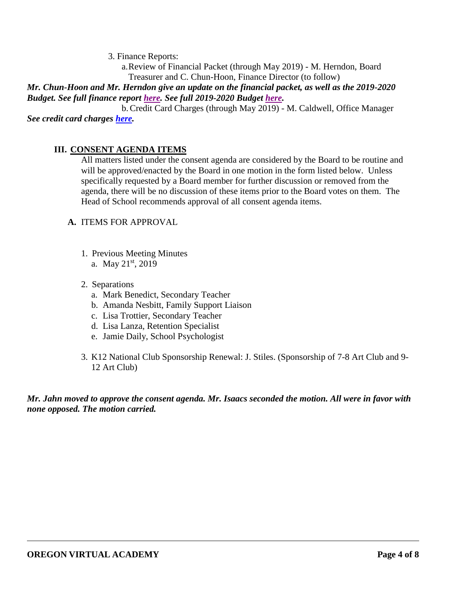3. Finance Reports:

a.Review of Financial Packet (through May 2019) - M. Herndon, Board Treasurer and C. Chun-Hoon, Finance Director (to follow)

*Mr. Chun-Hoon and Mr. Herndon give an update on the financial packet, as well as the 2019-2020 Budget. See full finance report [here.](https://k12inc-my.sharepoint.com/:p:/g/personal/mecaldwell_oregonva_org/EYJIRqki7jlGv3v5K-WrRa8B6zEIbjeLpB-Xali7zPL5yQ?e=9RvuLG) See full 2019-2020 Budget [here.](https://k12inc-my.sharepoint.com/:p:/g/personal/mecaldwell_oregonva_org/EVpYO4CrEi5LuNyabPobQs8B8y8I_HvQQwAkYoYeZ6rniw?e=CBaptu)*

b.Credit Card Charges (through May 2019) - M. Caldwell, Office Manager *See credit card charges [here.](https://k12inc-my.sharepoint.com/:b:/g/personal/mecaldwell_oregonva_org/EYFqVUaLs8BNrhM-o6bo5BEBi4Cc13NdpDtWnoGcVCLCUg?e=9aWZ8I)*

# **III. CONSENT AGENDA ITEMS**

All matters listed under the consent agenda are considered by the Board to be routine and will be approved/enacted by the Board in one motion in the form listed below. Unless specifically requested by a Board member for further discussion or removed from the agenda, there will be no discussion of these items prior to the Board votes on them. The Head of School recommends approval of all consent agenda items.

## **A.** ITEMS FOR APPROVAL

- 1. Previous Meeting Minutes a. May  $21^{st}$ , 2019
- 2. Separations
	- a. Mark Benedict, Secondary Teacher
	- b. Amanda Nesbitt, Family Support Liaison
	- c. Lisa Trottier, Secondary Teacher
	- d. Lisa Lanza, Retention Specialist
	- e. Jamie Daily, School Psychologist
- 3. K12 National Club Sponsorship Renewal: J. Stiles. (Sponsorship of 7-8 Art Club and 9- 12 Art Club)

*Mr. Jahn moved to approve the consent agenda. Mr. Isaacs seconded the motion. All were in favor with none opposed. The motion carried.*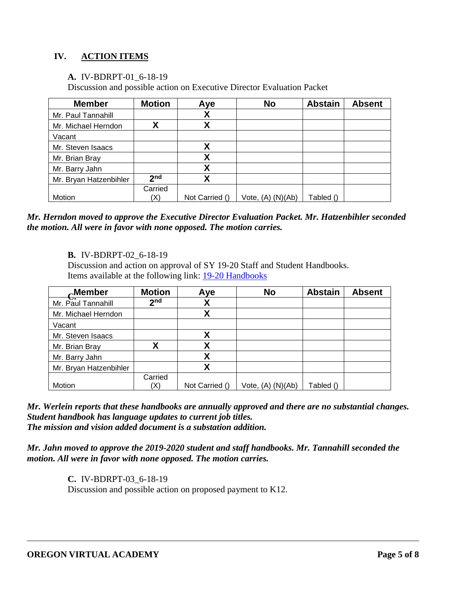# **IV. ACTION ITEMS**

**A.** IV-BDRPT-01\_6-18-19

Discussion and possible action on Executive Director Evaluation Packet

| <b>Member</b>          | <b>Motion</b>   | Aye            | <b>No</b>             | <b>Abstain</b> | <b>Absent</b> |
|------------------------|-----------------|----------------|-----------------------|----------------|---------------|
| Mr. Paul Tannahill     |                 | χ              |                       |                |               |
| Mr. Michael Herndon    |                 | Χ              |                       |                |               |
| Vacant                 |                 |                |                       |                |               |
| Mr. Steven Isaacs      |                 | χ              |                       |                |               |
| Mr. Brian Bray         |                 | χ              |                       |                |               |
| Mr. Barry Jahn         |                 | Χ              |                       |                |               |
| Mr. Bryan Hatzenbihler | 2 <sub>nd</sub> | Χ              |                       |                |               |
|                        | Carried         |                |                       |                |               |
| Motion                 | $\chi$          | Not Carried () | Vote, $(A)$ $(N)(Ab)$ | Tabled ()      |               |

*Mr. Herndon moved to approve the Executive Director Evaluation Packet. Mr. Hatzenbihler seconded the motion. All were in favor with none opposed. The motion carries.* 

**B.** IV-BDRPT-02\_6-18-19

Discussion and action on approval of SY 19-20 Staff and Student Handbooks. Items available at the following link: [19-20 Handbooks](https://k12inc-my.sharepoint.com/:f:/g/personal/swerlein_k12_com/EmKVk_yV7ftMktXuZB8v3WsBYMrmQOCN03wOBlG4aq5wxw)

| $\alpha$ Member        | <b>Motion</b>   | Aye            | <b>No</b>             | <b>Abstain</b> | <b>Absent</b> |
|------------------------|-----------------|----------------|-----------------------|----------------|---------------|
| Mr. Paul Tannahill     | 2 <sub>nd</sub> | χ              |                       |                |               |
| Mr. Michael Herndon    |                 | χ              |                       |                |               |
| Vacant                 |                 |                |                       |                |               |
| Mr. Steven Isaacs      |                 | χ              |                       |                |               |
| Mr. Brian Bray         | Χ               | χ              |                       |                |               |
| Mr. Barry Jahn         |                 | χ              |                       |                |               |
| Mr. Bryan Hatzenbihler |                 | Χ              |                       |                |               |
|                        | Carried         |                |                       |                |               |
| Motion                 | (X)             | Not Carried () | Vote, $(A)$ $(N)(Ab)$ | Tabled ()      |               |

*Mr. Werlein reports that these handbooks are annually approved and there are no substantial changes. Student handbook has language updates to current job titles. The mission and vision added document is a substation addition.* 

*Mr. Jahn moved to approve the 2019-2020 student and staff handbooks. Mr. Tannahill seconded the motion. All were in favor with none opposed. The motion carries.* 

> **C.** IV-BDRPT-03\_6-18-19 Discussion and possible action on proposed payment to K12.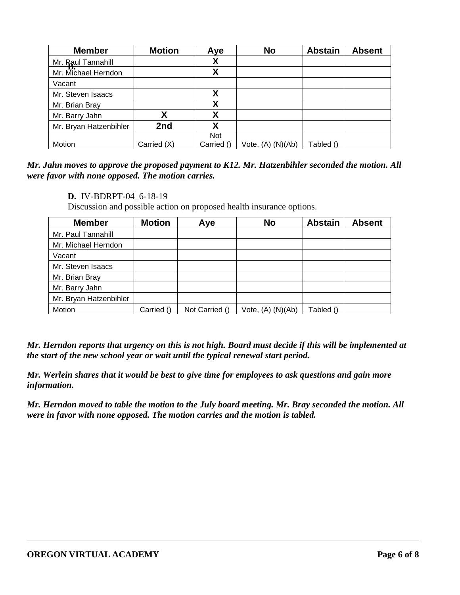| <b>Member</b>          | <b>Motion</b> | Aye        | <b>No</b>         | <b>Abstain</b> | <b>Absent</b> |
|------------------------|---------------|------------|-------------------|----------------|---------------|
| Mr. Paul Tannahill     |               | χ          |                   |                |               |
| Mr. Michael Herndon    |               | χ          |                   |                |               |
| Vacant                 |               |            |                   |                |               |
| Mr. Steven Isaacs      |               | Χ          |                   |                |               |
| Mr. Brian Bray         |               | χ          |                   |                |               |
| Mr. Barry Jahn         | v             | Χ          |                   |                |               |
| Mr. Bryan Hatzenbihler | 2nd           | χ          |                   |                |               |
|                        |               | Not        |                   |                |               |
| Motion                 | Carried (X)   | Carried () | Vote, (A) (N)(Ab) | Tabled ()      |               |

*Mr. Jahn moves to approve the proposed payment to K12. Mr. Hatzenbihler seconded the motion. All were favor with none opposed. The motion carries.*

#### **D.** IV-BDRPT-04\_6-18-19

Discussion and possible action on proposed health insurance options.

| <b>Member</b>          | <b>Motion</b> | Aye            | <b>No</b>             | <b>Abstain</b> | <b>Absent</b> |
|------------------------|---------------|----------------|-----------------------|----------------|---------------|
| Mr. Paul Tannahill     |               |                |                       |                |               |
| Mr. Michael Herndon    |               |                |                       |                |               |
| Vacant                 |               |                |                       |                |               |
| Mr. Steven Isaacs      |               |                |                       |                |               |
| Mr. Brian Bray         |               |                |                       |                |               |
| Mr. Barry Jahn         |               |                |                       |                |               |
| Mr. Bryan Hatzenbihler |               |                |                       |                |               |
| Motion                 | Carried ()    | Not Carried () | Vote, $(A)$ $(N)(Ab)$ | Tabled ()      |               |

*Mr. Herndon reports that urgency on this is not high. Board must decide if this will be implemented at the start of the new school year or wait until the typical renewal start period.* 

*Mr. Werlein shares that it would be best to give time for employees to ask questions and gain more information.* 

*Mr. Herndon moved to table the motion to the July board meeting. Mr. Bray seconded the motion. All were in favor with none opposed. The motion carries and the motion is tabled.*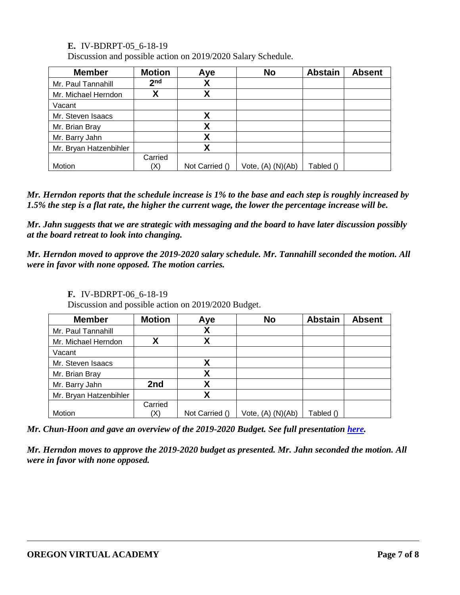**E.** IV-BDRPT-05\_6-18-19

Discussion and possible action on 2019/2020 Salary Schedule.

| <b>Member</b>          | <b>Motion</b>   | Aye            | <b>No</b>             | <b>Abstain</b> | <b>Absent</b> |
|------------------------|-----------------|----------------|-----------------------|----------------|---------------|
| Mr. Paul Tannahill     | 2 <sub>nd</sub> | χ              |                       |                |               |
| Mr. Michael Herndon    |                 | χ              |                       |                |               |
| Vacant                 |                 |                |                       |                |               |
| Mr. Steven Isaacs      |                 | Χ              |                       |                |               |
| Mr. Brian Bray         |                 | Χ              |                       |                |               |
| Mr. Barry Jahn         |                 | Χ              |                       |                |               |
| Mr. Bryan Hatzenbihler |                 | χ              |                       |                |               |
|                        | Carried         |                |                       |                |               |
| Motion                 |                 | Not Carried () | Vote, $(A)$ $(N)(Ab)$ | Tabled ()      |               |

*Mr. Herndon reports that the schedule increase is 1% to the base and each step is roughly increased by 1.5% the step is a flat rate, the higher the current wage, the lower the percentage increase will be.* 

*Mr. Jahn suggests that we are strategic with messaging and the board to have later discussion possibly at the board retreat to look into changing.* 

*Mr. Herndon moved to approve the 2019-2020 salary schedule. Mr. Tannahill seconded the motion. All were in favor with none opposed. The motion carries.* 

# **F.** IV-BDRPT-06\_6-18-19

Discussion and possible action on 2019/2020 Budget.

| <b>Member</b>          | <b>Motion</b> | Aye            | <b>No</b>             | <b>Abstain</b> | <b>Absent</b> |
|------------------------|---------------|----------------|-----------------------|----------------|---------------|
| Mr. Paul Tannahill     |               | X              |                       |                |               |
| Mr. Michael Herndon    | χ             | X              |                       |                |               |
| Vacant                 |               |                |                       |                |               |
| Mr. Steven Isaacs      |               | χ              |                       |                |               |
| Mr. Brian Bray         |               | X              |                       |                |               |
| Mr. Barry Jahn         | 2nd           | χ              |                       |                |               |
| Mr. Bryan Hatzenbihler |               | Χ              |                       |                |               |
|                        | Carried       |                |                       |                |               |
| Motion                 | (X)           | Not Carried () | Vote, $(A)$ $(N)(Ab)$ | Tabled ()      |               |

*Mr. Chun-Hoon and gave an overview of the 2019-2020 Budget. See full presentation [here.](https://k12inc-my.sharepoint.com/:p:/g/personal/mecaldwell_oregonva_org/EVpYO4CrEi5LuNyabPobQs8B8y8I_HvQQwAkYoYeZ6rniw?e=eCZAOa)*

*Mr. Herndon moves to approve the 2019-2020 budget as presented. Mr. Jahn seconded the motion. All were in favor with none opposed.*